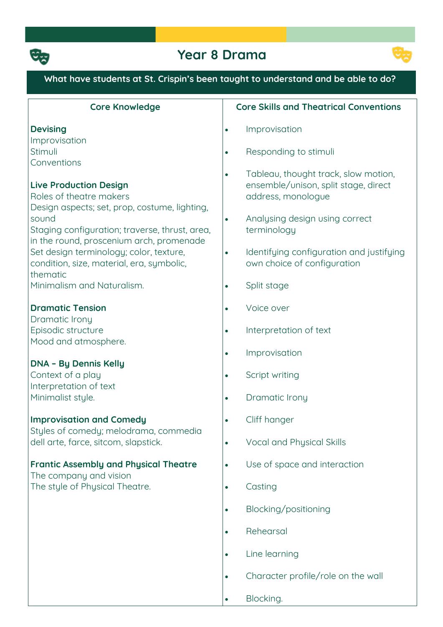

## **Year 8 Drama**



### **What have students at St. Crispin's been taught to understand and be able to do?**

| <b>Core Knowledge</b>                                                                                                                        | <b>Core Skills and Theatrical Conventions</b>                                                                   |
|----------------------------------------------------------------------------------------------------------------------------------------------|-----------------------------------------------------------------------------------------------------------------|
| <b>Devising</b>                                                                                                                              | Improvisation<br>$\bullet$                                                                                      |
| Improvisation<br>Stimuli                                                                                                                     | Responding to stimuli<br>$\bullet$                                                                              |
| Conventions<br><b>Live Production Design</b><br>Roles of theatre makers<br>Design aspects; set, prop, costume, lighting,                     | Tableau, thought track, slow motion,<br>$\bullet$<br>ensemble/unison, split stage, direct<br>address, monologue |
| sound<br>Staging configuration; traverse, thrust, area,                                                                                      | Analysing design using correct<br>$\bullet$<br>terminology                                                      |
| in the round, proscenium arch, promenade<br>Set design terminology; color, texture,<br>condition, size, material, era, symbolic,<br>thematic | Identifying configuration and justifying<br>$\bullet$<br>own choice of configuration                            |
| Minimalism and Naturalism.                                                                                                                   | Split stage<br>$\bullet$                                                                                        |
| <b>Dramatic Tension</b>                                                                                                                      | Voice over<br>$\bullet$                                                                                         |
| Dramatic Irony<br>Episodic structure                                                                                                         | Interpretation of text<br>$\bullet$                                                                             |
| Mood and atmosphere.                                                                                                                         | Improvisation<br>$\bullet$                                                                                      |
| <b>DNA - By Dennis Kelly</b><br>Context of a play                                                                                            | Script writing<br>$\bullet$                                                                                     |
| Interpretation of text<br>Minimalist style.                                                                                                  | Dramatic Irony<br>$\bullet$                                                                                     |
| <b>Improvisation and Comedy</b>                                                                                                              | Cliff hanger<br>$\bullet$                                                                                       |
| Styles of comedy; melodrama, commedia<br>dell arte, farce, sitcom, slapstick.                                                                | Vocal and Physical Skills<br>$\bullet$                                                                          |
| <b>Frantic Assembly and Physical Theatre</b>                                                                                                 | Use of space and interaction<br>$\bullet$                                                                       |
| The company and vision<br>The style of Physical Theatre.                                                                                     | Casting<br>$\bullet$                                                                                            |
|                                                                                                                                              | Blocking/positioning<br>$\bullet$                                                                               |
|                                                                                                                                              | Rehearsal<br>$\bullet$                                                                                          |
|                                                                                                                                              | Line learning<br>$\bullet$                                                                                      |
|                                                                                                                                              | Character profile/role on the wall<br>$\bullet$                                                                 |
|                                                                                                                                              | Blocking.<br>$\bullet$                                                                                          |